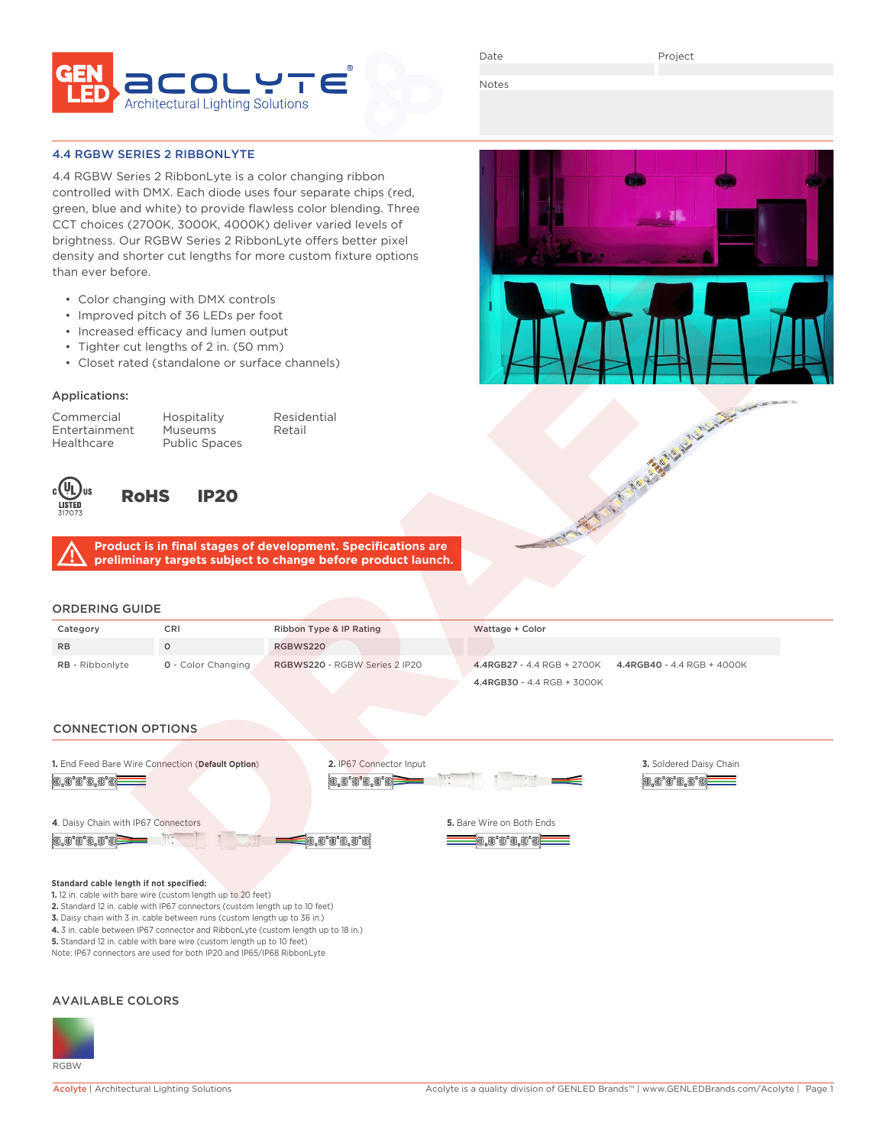

Date

A Mary Register Links

Notes

## 4.4 RGBW SERIES 2 RIBBONLYTE

4.4 RGBW Series 2 RibbonLyte is a color changing ribbon controlled with DMX. Each diode uses four separate chips (red, green, blue and white) to provide flawless color blending. Three CCT choices (2700K, 3000K, 4000K) deliver varied levels of brightness. Our RGBW Series 2 RibbonLyte offers better pixel density and shorter cut lengths for more custom fixture options than ever before.

- Color changing with DMX controls
- Improved pitch of 36 LEDs per foot
- Increased efficacy and lumen output
- Tighter cut lengths of 2 in. (50 mm)
- Closet rated (standalone or surface channels)

## Applications:

Entertainment Museums<br>
Healthcare Public Spa

Commercial Hospitality Residential Public Spaces



# RoHS IP20

**Product is in final stages of development. Specifications are preliminary targets subject to change before product launch.**

# ORDERING GUIDE

| Category               | CRI                       | Ribbon Type & IP Rating       | Wattage + Color                                             |
|------------------------|---------------------------|-------------------------------|-------------------------------------------------------------|
| <b>RB</b>              |                           | RGBWS220                      |                                                             |
| <b>RB</b> - Ribbonlyte | <b>Q</b> - Color Changing | RGBWS220 - RGBW Series 2 IP20 | $4.4$ RGB27 - 4.4 RGB + 2700K<br>4.4RGB40 - 4.4 RGB + 4000K |
|                        |                           |                               | 4.4RGB30 - 4.4 RGB + 3000K                                  |

## CONNECTION OPTIONS



#### **Standard cable length if not specified:**

- **1.** 12 in. cable with bare wire (custom length up to 20 feet) **2.** Standard 12 in. cable with IP67 connectors (custom length up to 10 feet)
- 
- **3.** Daisy chain with 3 in. cable between runs (custom length up to 36 in.)
- **4.** 3 in. cable between IP67 connector and RibbonLyte (custom length up to 18 in.) **5.** Standard 12 in. cable with bare wire (custom length up to 10 feet)
- Note: IP67 connectors are used for both IP20 and IP65/IP68 RibbonLyte
- 

### AVAILABLE COLORS

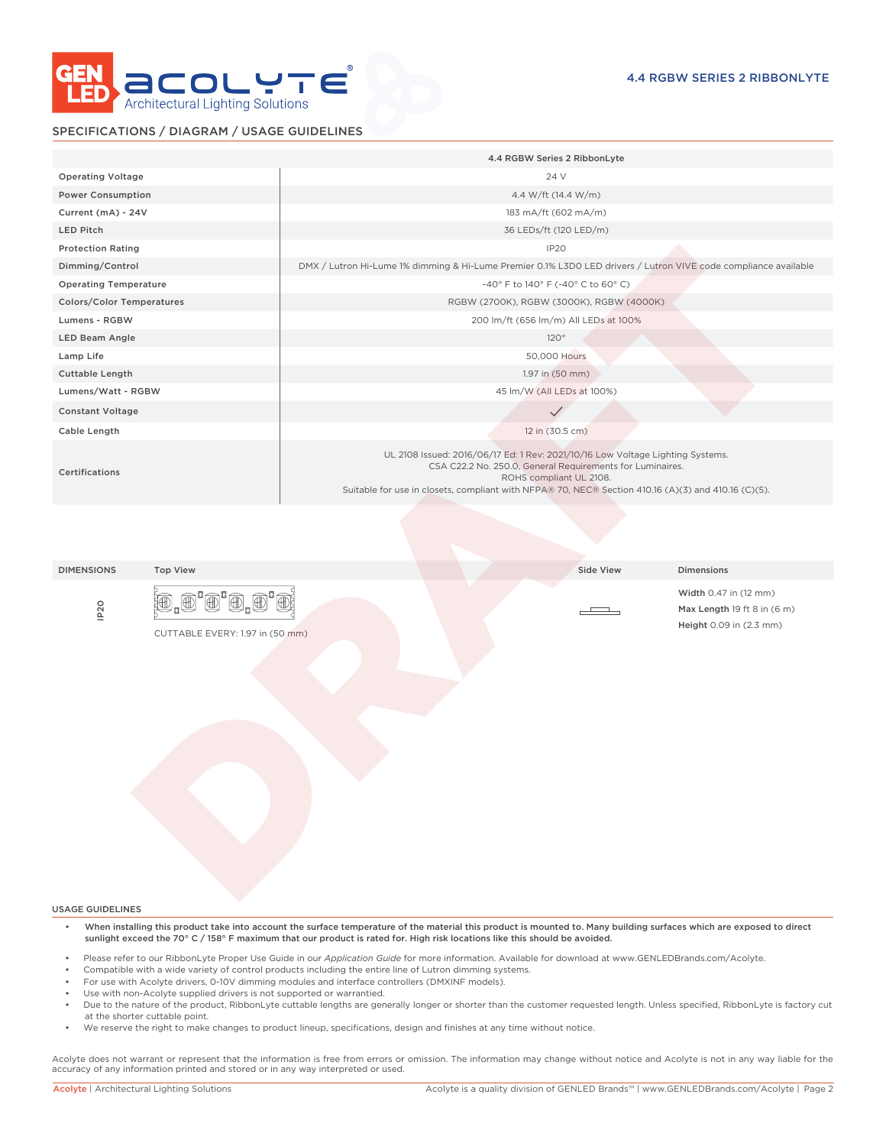

# SPECIFICATIONS / DIAGRAM / USAGE GUIDELINES

|                                  | 4.4 RGBW Series 2 RibbonLyte                                                                                                                                                                                                                                                  |  |  |  |  |  |
|----------------------------------|-------------------------------------------------------------------------------------------------------------------------------------------------------------------------------------------------------------------------------------------------------------------------------|--|--|--|--|--|
| <b>Operating Voltage</b>         | 24 V                                                                                                                                                                                                                                                                          |  |  |  |  |  |
| <b>Power Consumption</b>         | 4.4 W/ft (14.4 W/m)                                                                                                                                                                                                                                                           |  |  |  |  |  |
| Current (mA) - 24V               | 183 mA/ft (602 mA/m)                                                                                                                                                                                                                                                          |  |  |  |  |  |
| <b>LED Pitch</b>                 | 36 LEDs/ft (120 LED/m)                                                                                                                                                                                                                                                        |  |  |  |  |  |
| <b>Protection Rating</b>         | IP <sub>20</sub>                                                                                                                                                                                                                                                              |  |  |  |  |  |
| Dimming/Control                  | DMX / Lutron Hi-Lume 1% dimming & Hi-Lume Premier 0.1% L3D0 LED drivers / Lutron VIVE code compliance available                                                                                                                                                               |  |  |  |  |  |
| <b>Operating Temperature</b>     | -40° F to 140° F (-40° C to 60° C)                                                                                                                                                                                                                                            |  |  |  |  |  |
| <b>Colors/Color Temperatures</b> | RGBW (2700K), RGBW (3000K), RGBW (4000K)                                                                                                                                                                                                                                      |  |  |  |  |  |
| Lumens - RGBW                    | 200 lm/ft (656 lm/m) All LEDs at 100%                                                                                                                                                                                                                                         |  |  |  |  |  |
| LED Beam Angle                   | 120°                                                                                                                                                                                                                                                                          |  |  |  |  |  |
| Lamp Life                        | 50,000 Hours                                                                                                                                                                                                                                                                  |  |  |  |  |  |
| <b>Cuttable Length</b>           | 1.97 in (50 mm)                                                                                                                                                                                                                                                               |  |  |  |  |  |
| Lumens/Watt - RGBW               | 45 lm/W (All LEDs at 100%)                                                                                                                                                                                                                                                    |  |  |  |  |  |
| <b>Constant Voltage</b>          |                                                                                                                                                                                                                                                                               |  |  |  |  |  |
| Cable Length                     | 12 in (30.5 cm)                                                                                                                                                                                                                                                               |  |  |  |  |  |
| Certifications                   | UL 2108 Issued: 2016/06/17 Ed: 1 Rev: 2021/10/16 Low Voltage Lighting Systems.<br>CSA C22.2 No. 250.0, General Requirements for Luminaires.<br>ROHS compliant UL 2108.<br>Suitable for use in closets, compliant with NFPA® 70, NEC® Section 410.16 (A)(3) and 410.16 (C)(5). |  |  |  |  |  |

DIMENSIONS Top View Side View Dimensions

IP20





Width 0.47 in (12 mm) Max Length 19 ft 8 in (6 m) Height 0.09 in (2.3 mm)

USAGE GUIDELINES

- When installing this product take into account the surface temperature of the material this product is mounted to. Many building surfaces which are exposed to direct sunlight exceed the 70° C / 158° F maximum that our product is rated for. High risk locations like this should be avoided.
- Please refer to our RibbonLyte Proper Use Guide in our *Application Guide* for more information. Available for download at www.GENLEDBrands.com/Acolyte.
- Compatible with a wide variety of control products including the entire line of Lutron dimming systems.
- For use with Acolyte drivers, 0-10V dimming modules and interface controllers (DMXINF models).
- Use with non-Acolyte supplied drivers is not supported or warrantied.
- Due to the nature of the product, RibbonLyte cuttable lengths are generally longer or shorter than the customer requested length. Unless specified, RibbonLyte is factory cut at the shorter cuttable point.
- We reserve the right to make changes to product lineup, specifications, design and finishes at any time without notice.

Acolyte does not warrant or represent that the information is free from errors or omission. The information may change without notice and Acolyte is not in any way liable for the accuracy of any information printed and stored or in any way interpreted or used.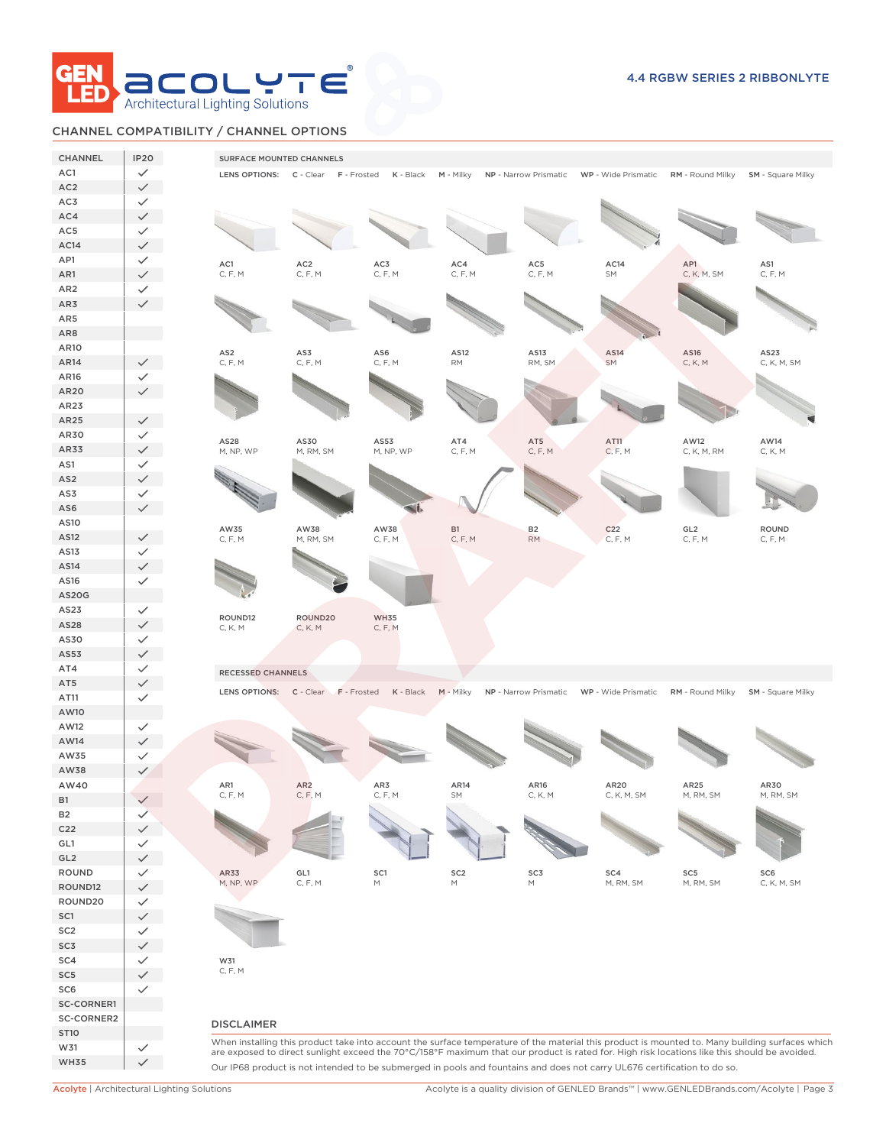

# CHANNEL COMPATIBILITY / CHANNEL OPTIONS

| CHANNEL                | <b>IP20</b>                  | SURFACE MOUNTED CHANNELS   |                                     |                |                                                                                                            |                 |                                                                                                                                              |                   |                                                                                                                                                 |
|------------------------|------------------------------|----------------------------|-------------------------------------|----------------|------------------------------------------------------------------------------------------------------------|-----------------|----------------------------------------------------------------------------------------------------------------------------------------------|-------------------|-------------------------------------------------------------------------------------------------------------------------------------------------|
| AC1                    | $\checkmark$                 |                            | LENS OPTIONS: C - Clear F - Frosted | K - Black      |                                                                                                            |                 | M - Milky NP - Narrow Prismatic WP - Wide Prismatic RM - Round Milky SM - Square Milky                                                       |                   |                                                                                                                                                 |
| AC <sub>2</sub>        | $\checkmark$                 |                            |                                     |                |                                                                                                            |                 |                                                                                                                                              |                   |                                                                                                                                                 |
| AC3                    | $\checkmark$                 |                            |                                     |                |                                                                                                            |                 |                                                                                                                                              |                   |                                                                                                                                                 |
| AC4                    | $\checkmark$                 |                            |                                     |                |                                                                                                            |                 |                                                                                                                                              |                   |                                                                                                                                                 |
| AC5                    | $\checkmark$                 |                            |                                     |                |                                                                                                            |                 |                                                                                                                                              |                   |                                                                                                                                                 |
| AC14                   | $\checkmark$                 |                            |                                     |                |                                                                                                            |                 |                                                                                                                                              |                   |                                                                                                                                                 |
| AP1                    | $\checkmark$                 | AC1                        | AC <sub>2</sub>                     | AC3            | AC4                                                                                                        | AC5             | AC14                                                                                                                                         | AP1               | AS1                                                                                                                                             |
| AR1                    | $\checkmark$                 | C, F, M                    | C, F, M                             | C, F, M        | C, F, M                                                                                                    | C, F, M         | SM                                                                                                                                           | C, K, M, SM       | C, F, M                                                                                                                                         |
| AR <sub>2</sub>        | $\checkmark$                 |                            |                                     |                |                                                                                                            |                 |                                                                                                                                              |                   |                                                                                                                                                 |
| AR3                    | $\checkmark$                 |                            |                                     |                |                                                                                                            |                 |                                                                                                                                              |                   |                                                                                                                                                 |
| AR5<br>AR8             |                              |                            |                                     |                |                                                                                                            |                 |                                                                                                                                              |                   |                                                                                                                                                 |
| AR10                   |                              |                            |                                     |                |                                                                                                            |                 |                                                                                                                                              |                   |                                                                                                                                                 |
| AR14                   | $\checkmark$                 | AS <sub>2</sub><br>C, F, M | AS3<br>C, F, M                      | AS6<br>C, F, M | AS12<br>$\mathsf{RM}$                                                                                      | AS13<br>RM, SM  | AS14<br><b>SM</b>                                                                                                                            | AS16<br>C, K, M   | AS23<br>C, K, M, SM                                                                                                                             |
| AR16                   | $\checkmark$                 |                            |                                     |                |                                                                                                            |                 |                                                                                                                                              |                   |                                                                                                                                                 |
| AR20                   | $\checkmark$                 |                            |                                     |                |                                                                                                            |                 |                                                                                                                                              |                   |                                                                                                                                                 |
| AR23                   |                              |                            |                                     |                |                                                                                                            |                 |                                                                                                                                              |                   |                                                                                                                                                 |
| AR25                   | $\checkmark$                 |                            |                                     |                |                                                                                                            |                 |                                                                                                                                              |                   |                                                                                                                                                 |
| AR30                   | $\checkmark$                 | AS28                       | AS30                                | AS53           | AT4                                                                                                        |                 | AT11                                                                                                                                         | AW12              | AW14                                                                                                                                            |
| AR33                   | $\checkmark$                 | M, NP, WP                  | M, RM, SM                           | M, NP, WP      | C, F, M                                                                                                    | AT5<br>C, F, M  | C, F, M                                                                                                                                      | C, K, M, RM       | C, K, M                                                                                                                                         |
| AS1                    | $\checkmark$                 |                            |                                     |                |                                                                                                            |                 |                                                                                                                                              |                   |                                                                                                                                                 |
| AS <sub>2</sub>        | $\checkmark$                 |                            |                                     |                |                                                                                                            |                 |                                                                                                                                              |                   |                                                                                                                                                 |
| AS3                    | $\checkmark$                 |                            |                                     |                |                                                                                                            |                 |                                                                                                                                              |                   |                                                                                                                                                 |
| AS6                    | $\checkmark$                 |                            |                                     |                |                                                                                                            |                 |                                                                                                                                              |                   |                                                                                                                                                 |
| AS10                   |                              | AW35                       | AW38                                | AW38           | <b>B1</b>                                                                                                  | <b>B2</b>       | C <sub>22</sub>                                                                                                                              | GL <sub>2</sub>   | <b>ROUND</b>                                                                                                                                    |
| AS12                   | $\checkmark$                 | C, F, M                    | M, RM, SM                           | C, F, M        | C, F, M                                                                                                    | <b>RM</b>       | C, F, M                                                                                                                                      | C, F, M           | C, F, M                                                                                                                                         |
| AS13                   | $\checkmark$                 |                            |                                     |                |                                                                                                            |                 |                                                                                                                                              |                   |                                                                                                                                                 |
| AS14                   | $\checkmark$                 |                            |                                     |                |                                                                                                            |                 |                                                                                                                                              |                   |                                                                                                                                                 |
| AS16                   | $\checkmark$                 |                            |                                     |                |                                                                                                            |                 |                                                                                                                                              |                   |                                                                                                                                                 |
| <b>AS20G</b>           |                              |                            |                                     |                |                                                                                                            |                 |                                                                                                                                              |                   |                                                                                                                                                 |
| AS23<br>AS28           | $\checkmark$<br>$\checkmark$ | ROUND12                    | ROUND20                             | <b>WH35</b>    |                                                                                                            |                 |                                                                                                                                              |                   |                                                                                                                                                 |
| AS30                   | $\checkmark$                 | C, K, M                    | C, K, M                             | C, F, M        |                                                                                                            |                 |                                                                                                                                              |                   |                                                                                                                                                 |
| AS53                   | $\checkmark$                 |                            |                                     |                |                                                                                                            |                 |                                                                                                                                              |                   |                                                                                                                                                 |
| AT4                    | $\checkmark$                 | <b>RECESSED CHANNELS</b>   |                                     |                |                                                                                                            |                 |                                                                                                                                              |                   |                                                                                                                                                 |
| AT5                    | $\checkmark$                 |                            |                                     |                |                                                                                                            |                 |                                                                                                                                              |                   |                                                                                                                                                 |
| AT11                   | $\checkmark$                 |                            | LENS OPTIONS: C - Clear F - Frosted | K - Black      | M - Milky                                                                                                  |                 | NP - Narrow Prismatic WP - Wide Prismatic                                                                                                    | RM - Round Milky  | <b>SM</b> - Square Milky                                                                                                                        |
| AW10                   |                              |                            |                                     |                |                                                                                                            |                 |                                                                                                                                              |                   |                                                                                                                                                 |
| AW12                   | $\checkmark$                 |                            |                                     |                |                                                                                                            |                 |                                                                                                                                              |                   |                                                                                                                                                 |
| AW14                   | $\checkmark$                 |                            |                                     |                |                                                                                                            |                 |                                                                                                                                              |                   |                                                                                                                                                 |
| AW35                   | $\checkmark$                 |                            |                                     |                |                                                                                                            |                 |                                                                                                                                              |                   |                                                                                                                                                 |
| AW38                   | $\checkmark$                 |                            |                                     |                |                                                                                                            |                 |                                                                                                                                              |                   |                                                                                                                                                 |
| AW40                   |                              | AR1<br>C, F, M             | AR <sub>2</sub><br>C, F, M          | AR3<br>C, F, M | AR14<br>SM                                                                                                 | AR16<br>C, K, M | AR20<br>C, K, M, SM                                                                                                                          | AR25<br>M, RM, SM | AR30<br>M, RM, SM                                                                                                                               |
| <b>B1</b>              | $\checkmark$                 |                            |                                     |                |                                                                                                            |                 |                                                                                                                                              |                   |                                                                                                                                                 |
| <b>B2</b>              | $\checkmark$                 |                            |                                     |                |                                                                                                            |                 |                                                                                                                                              |                   |                                                                                                                                                 |
| C <sub>22</sub><br>GL1 | $\checkmark$                 |                            |                                     |                |                                                                                                            |                 |                                                                                                                                              |                   |                                                                                                                                                 |
| GL2                    | $\checkmark$<br>$\checkmark$ |                            |                                     |                |                                                                                                            |                 |                                                                                                                                              |                   |                                                                                                                                                 |
| ROUND                  | $\checkmark$                 | AR33                       | GL1                                 | SC1            | SC <sub>2</sub>                                                                                            | SC3             | SC4                                                                                                                                          | SC5               | SC <sub>6</sub>                                                                                                                                 |
| ROUND12                | $\checkmark$                 | M, NP, WP                  | C, F, M                             | М              | $\mathsf{M}% _{T}=\mathsf{M}_{T}\!\left( a,b\right) ,\ \mathsf{M}_{T}=\mathsf{M}_{T}\!\left( a,b\right) ,$ | M               | M, RM, SM                                                                                                                                    | M, RM, SM         | C, K, M, SM                                                                                                                                     |
| ROUND20                | $\checkmark$                 |                            |                                     |                |                                                                                                            |                 |                                                                                                                                              |                   |                                                                                                                                                 |
| SC1                    | $\checkmark$                 |                            |                                     |                |                                                                                                            |                 |                                                                                                                                              |                   |                                                                                                                                                 |
| SC <sub>2</sub>        | $\checkmark$                 |                            |                                     |                |                                                                                                            |                 |                                                                                                                                              |                   |                                                                                                                                                 |
| SC3                    | $\checkmark$                 |                            |                                     |                |                                                                                                            |                 |                                                                                                                                              |                   |                                                                                                                                                 |
| SC4                    | $\checkmark$                 | W31                        |                                     |                |                                                                                                            |                 |                                                                                                                                              |                   |                                                                                                                                                 |
| SC <sub>5</sub>        | $\checkmark$                 | C, F, M                    |                                     |                |                                                                                                            |                 |                                                                                                                                              |                   |                                                                                                                                                 |
| SC6                    | $\checkmark$                 |                            |                                     |                |                                                                                                            |                 |                                                                                                                                              |                   |                                                                                                                                                 |
| SC-CORNER1             |                              |                            |                                     |                |                                                                                                            |                 |                                                                                                                                              |                   |                                                                                                                                                 |
| SC-CORNER2             |                              | <b>DISCLAIMER</b>          |                                     |                |                                                                                                            |                 |                                                                                                                                              |                   |                                                                                                                                                 |
| <b>ST10</b>            |                              |                            |                                     |                |                                                                                                            |                 |                                                                                                                                              |                   | When installing this product take into account the surface temperature of the material this product is mounted to. Many building surfaces which |
| W31                    | $\checkmark$                 |                            |                                     |                |                                                                                                            |                 | are exposed to direct sunlight exceed the 70°C/158°F maximum that our product is rated for. High risk locations like this should be avoided. |                   |                                                                                                                                                 |
| <b>WH35</b>            | $\checkmark$                 |                            |                                     |                |                                                                                                            |                 | Our IP68 product is not intended to be submerged in pools and fountains and does not carry UL676 certification to do so.                     |                   |                                                                                                                                                 |